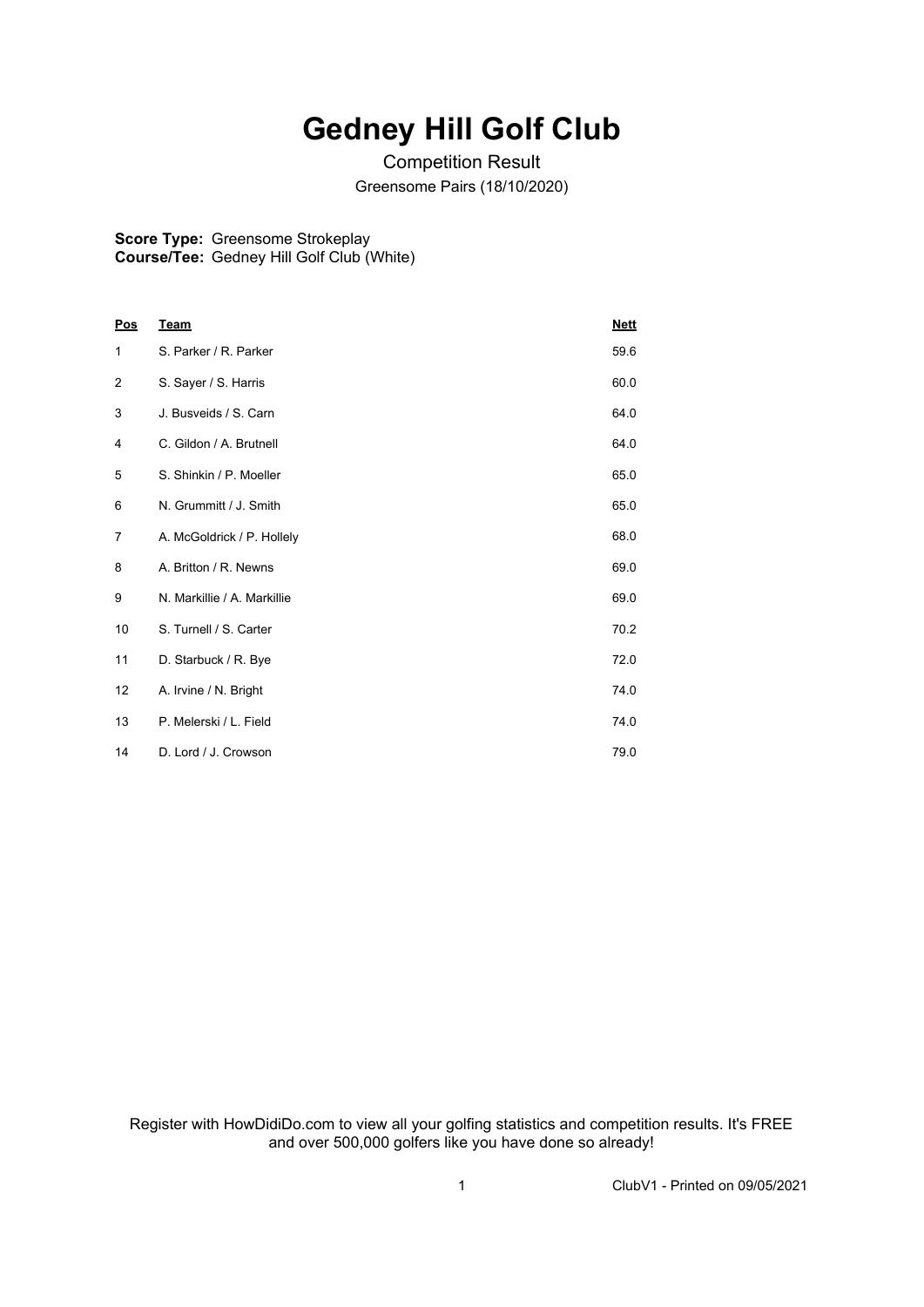## **Gedney Hill Golf Club**

Competition Result Greensome Pairs (18/10/2020)

**Score Type:** Greensome Strokeplay **Course/Tee:** Gedney Hill Golf Club (White)

| Pos            | <b>Team</b>                 | <b>Nett</b> |
|----------------|-----------------------------|-------------|
| 1              | S. Parker / R. Parker       | 59.6        |
| $\overline{2}$ | S. Sayer / S. Harris        | 60.0        |
| 3              | J. Busveids / S. Carn       | 64.0        |
| 4              | C. Gildon / A. Brutnell     | 64.0        |
| 5              | S. Shinkin / P. Moeller     | 65.0        |
| 6              | N. Grummitt / J. Smith      | 65.0        |
| 7              | A. McGoldrick / P. Hollely  | 68.0        |
| 8              | A. Britton / R. Newns       | 69.0        |
| 9              | N. Markillie / A. Markillie | 69.0        |
| 10             | S. Turnell / S. Carter      | 70.2        |
| 11             | D. Starbuck / R. Bye        | 72.0        |
| 12             | A. Irvine / N. Bright       | 74.0        |
| 13             | P. Melerski / L. Field      | 74.0        |
| 14             | D. Lord / J. Crowson        | 79.0        |

Register with HowDidiDo.com to view all your golfing statistics and competition results. It's FREE and over 500,000 golfers like you have done so already!